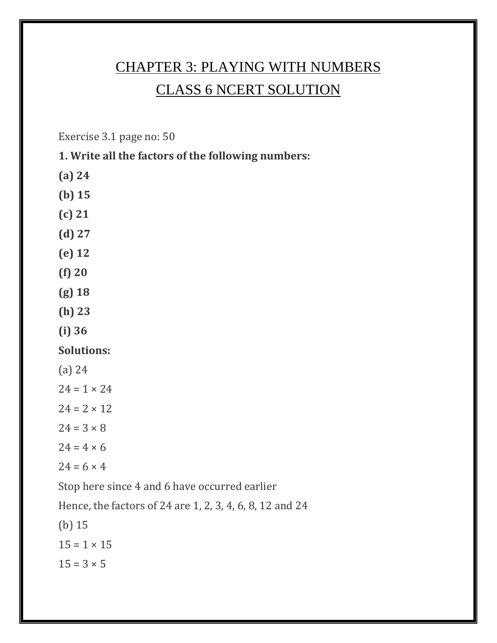# CHAPTER 3: PLAYING WITH NUMBERS CLASS 6 NCERT SOLUTION

Exercise 3.1 page no: 50

#### **1. Write all the factors of the following numbers:**

- **(a) 24**
- **(b) 15**
- **(c) 21**
- **(d) 27**
- **(e) 12**
- **(f) 20**
- **(g) 18**
- **(h) 23**
- **(i) 36**

#### **Solutions:**

- (a) 24
- $24 = 1 \times 24$
- $24 = 2 \times 12$
- $24 = 3 \times 8$
- $24 = 4 \times 6$
- $24 = 6 \times 4$

Stop here since 4 and 6 have occurred earlier

Hence, the factors of 24 are 1, 2, 3, 4, 6, 8, 12 and 24

(b) 15  $15 = 1 \times 15$  $15 = 3 \times 5$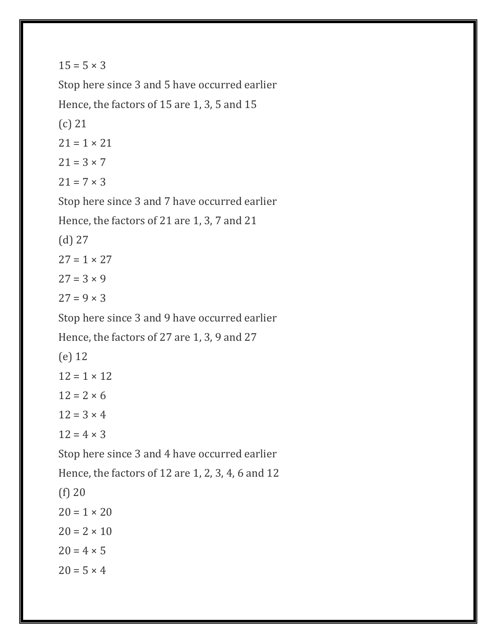$15 = 5 \times 3$ 

Stop here since 3 and 5 have occurred earlier Hence, the factors of 15 are 1, 3, 5 and 15 (c) 21  $21 = 1 \times 21$  $21 = 3 \times 7$  $21 = 7 \times 3$ Stop here since 3 and 7 have occurred earlier Hence, the factors of 21 are 1, 3, 7 and 21 (d) 27  $27 = 1 \times 27$  $27 = 3 \times 9$  $27 = 9 \times 3$ Stop here since 3 and 9 have occurred earlier Hence, the factors of 27 are 1, 3, 9 and 27 (e) 12  $12 = 1 \times 12$  $12 = 2 \times 6$  $12 = 3 \times 4$  $12 = 4 \times 3$ Stop here since 3 and 4 have occurred earlier Hence, the factors of 12 are 1, 2, 3, 4, 6 and 12 (f) 20  $20 = 1 \times 20$  $20 = 2 \times 10$  $20 = 4 \times 5$  $20 = 5 \times 4$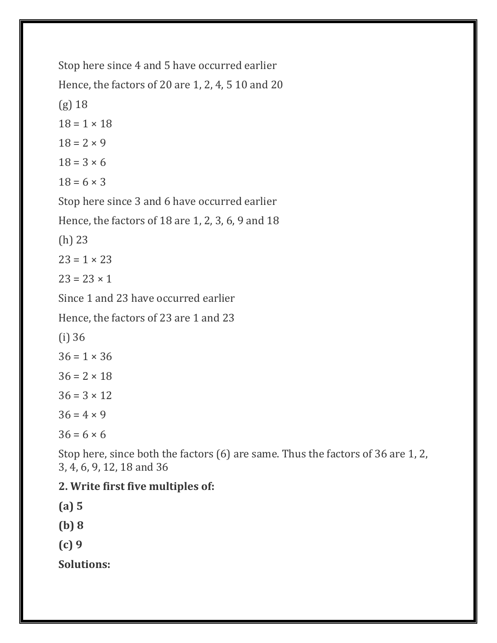Stop here since 4 and 5 have occurred earlier Hence, the factors of 20 are 1, 2, 4, 5 10 and 20 (g) 18  $18 = 1 \times 18$  $18 = 2 \times 9$  $18 = 3 \times 6$  $18 = 6 \times 3$ Stop here since 3 and 6 have occurred earlier Hence, the factors of 18 are 1, 2, 3, 6, 9 and 18 (h) 23  $23 = 1 \times 23$  $23 = 23 \times 1$ Since 1 and 23 have occurred earlier Hence, the factors of 23 are 1 and 23 (i) 36  $36 = 1 \times 36$  $36 = 2 \times 18$  $36 = 3 \times 12$  $36 = 4 \times 9$  $36 = 6 \times 6$ 

Stop here, since both the factors (6) are same. Thus the factors of 36 are 1, 2, 3, 4, 6, 9, 12, 18 and 36

#### **2. Write first five multiples of:**

**(a) 5 (b) 8 (c) 9 Solutions:**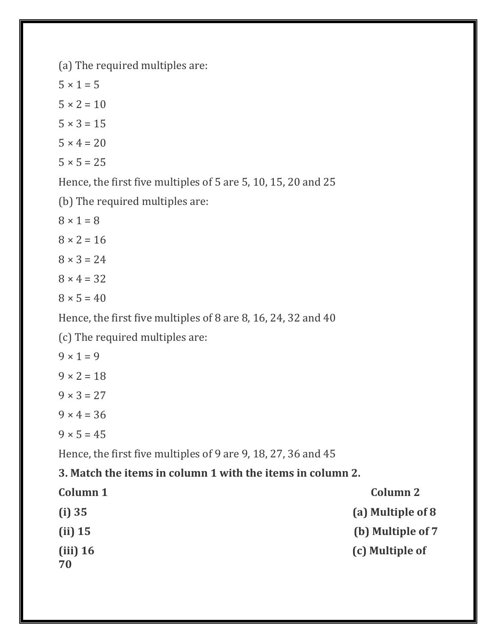(a) The required multiples are:

 $5 \times 1 = 5$  $5 \times 2 = 10$  $5 \times 3 = 15$  $5 \times 4 = 20$  $5 \times 5 = 25$ 

Hence, the first five multiples of 5 are 5, 10, 15, 20 and 25

(b) The required multiples are:

 $8 \times 1 = 8$  $8 \times 2 = 16$  $8 \times 3 = 24$  $8 \times 4 = 32$  $8 \times 5 = 40$ 

Hence, the first five multiples of 8 are 8, 16, 24, 32 and 40

(c) The required multiples are:

 $9 \times 1 = 9$  $9 \times 2 = 18$  $9 \times 3 = 27$  $9 \times 4 = 36$  $9 \times 5 = 45$ 

Hence, the first five multiples of 9 are 9, 18, 27, 36 and 45

#### **3. Match the items in column 1 with the items in column 2.**

| Column 1         | <b>Column 2</b>   |
|------------------|-------------------|
| (i) 35           | (a) Multiple of 8 |
| $(ii)$ 15        | (b) Multiple of 7 |
| $(iii)$ 16<br>70 | (c) Multiple of   |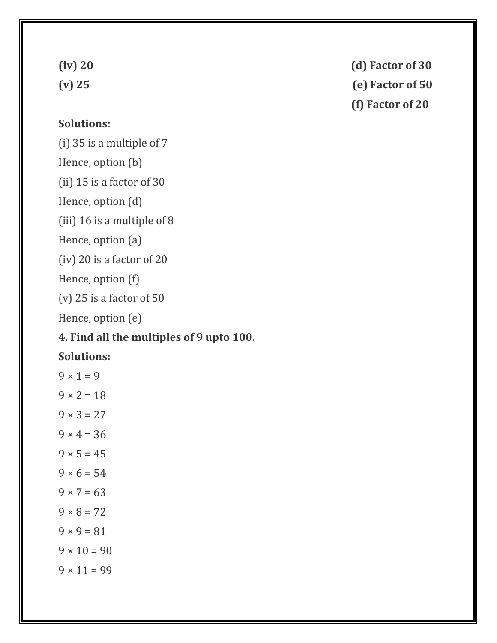#### **Solutions:**

(i) 35 is a multiple of 7 Hence, option (b) (ii) 15 is a factor of 30 Hence, option (d) (iii) 16 is a multiple of 8 Hence, option (a) (iv) 20 is a factor of 20 Hence, option (f) (v) 25 is a factor of 50

Hence, option (e)

# **4. Find all the multiples of 9 upto 100.**

#### **Solutions:**

|                   |  | $9 \times 1 = 9$  |                    |
|-------------------|--|-------------------|--------------------|
|                   |  | $9 \times 2 = 18$ |                    |
| $9 \times 3 = 27$ |  |                   |                    |
|                   |  | $9 \times 4 = 36$ |                    |
| $9 \times 5 = 45$ |  |                   |                    |
|                   |  | $9 \times 6 = 54$ |                    |
| $9 \times 7 = 63$ |  |                   |                    |
|                   |  | $9 \times 8 = 72$ |                    |
| $9 \times 9 = 81$ |  |                   |                    |
|                   |  |                   | $9 \times 10 = 90$ |
|                   |  |                   | $9 \times 11 = 99$ |

**(iv) 20 (d) Factor of 30**

# **(v) 25 (e) Factor of 50**

**(f) Factor of 20**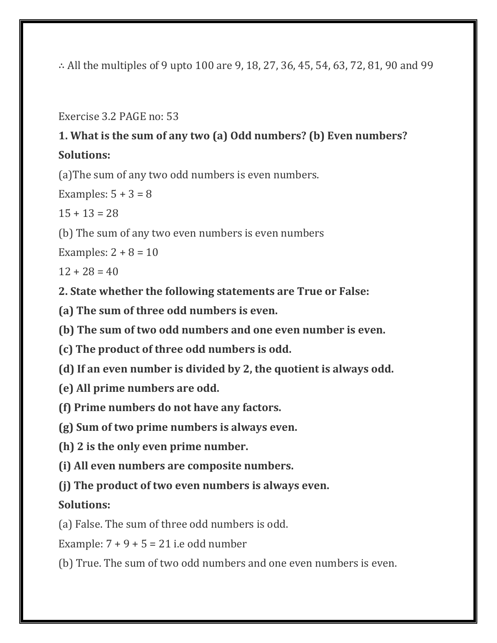∴ All the multiples of 9 upto 100 are 9, 18, 27, 36, 45, 54, 63, 72, 81, 90 and 99

Exercise 3.2 PAGE no: 53

# **1. What is the sum of any two (a) Odd numbers? (b) Even numbers? Solutions:**

(a)The sum of any two odd numbers is even numbers.

Examples:  $5 + 3 = 8$ 

 $15 + 13 = 28$ 

(b) The sum of any two even numbers is even numbers

Examples:  $2 + 8 = 10$ 

 $12 + 28 = 40$ 

**2. State whether the following statements are True or False:**

**(a) The sum of three odd numbers is even.**

**(b) The sum of two odd numbers and one even number is even.**

**(c) The product of three odd numbers is odd.**

**(d) If an even number is divided by 2, the quotient is always odd.**

- **(e) All prime numbers are odd.**
- **(f) Prime numbers do not have any factors.**

**(g) Sum of two prime numbers is always even.**

**(h) 2 is the only even prime number.**

**(i) All even numbers are composite numbers.**

**(j) The product of two even numbers is always even.**

# **Solutions:**

(a) False. The sum of three odd numbers is odd.

Example:  $7 + 9 + 5 = 21$  i.e odd number

(b) True. The sum of two odd numbers and one even numbers is even.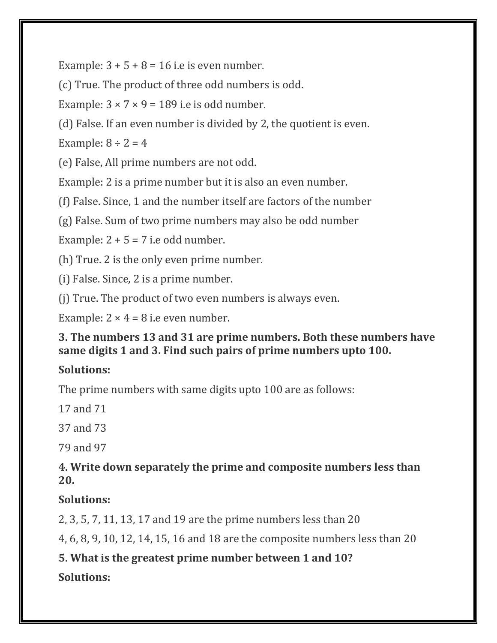Example:  $3 + 5 + 8 = 16$  i.e is even number.

(c) True. The product of three odd numbers is odd.

Example:  $3 \times 7 \times 9 = 189$  i.e is odd number.

(d) False. If an even number is divided by 2, the quotient is even.

Example:  $8 \div 2 = 4$ 

(e) False, All prime numbers are not odd.

Example: 2 is a prime number but it is also an even number.

(f) False. Since, 1 and the number itself are factors of the number

(g) False. Sum of two prime numbers may also be odd number

Example:  $2 + 5 = 7$  i.e odd number.

(h) True. 2 is the only even prime number.

(i) False. Since, 2 is a prime number.

(j) True. The product of two even numbers is always even.

Example:  $2 \times 4 = 8$  i.e even number.

## **3. The numbers 13 and 31 are prime numbers. Both these numbers have same digits 1 and 3. Find such pairs of prime numbers upto 100.**

# **Solutions:**

The prime numbers with same digits upto 100 are as follows:

17 and 71

37 and 73

79 and 97

## **4. Write down separately the prime and composite numbers less than 20.**

# **Solutions:**

2, 3, 5, 7, 11, 13, 17 and 19 are the prime numbers less than 20

4, 6, 8, 9, 10, 12, 14, 15, 16 and 18 are the composite numbers less than 20

# **5. What is the greatest prime number between 1 and 10?**

# **Solutions:**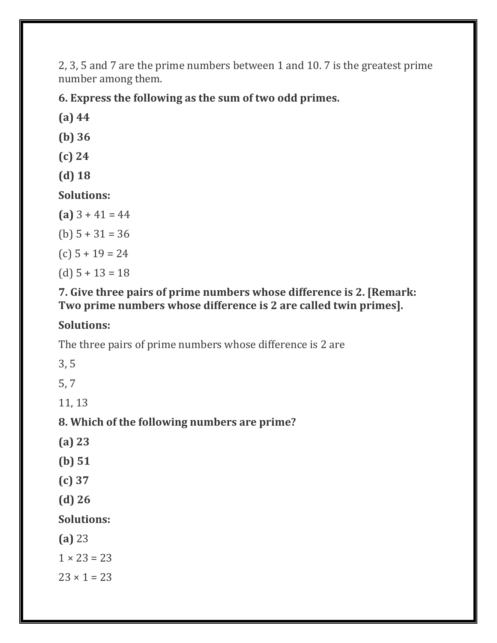2, 3, 5 and 7 are the prime numbers between 1 and 10. 7 is the greatest prime number among them.

**6. Express the following as the sum of two odd primes.**

**(a) 44**

**(b) 36**

- **(c) 24**
- **(d) 18**

**Solutions:**

- **(a)** 3 + 41 = 44
- (b)  $5 + 31 = 36$
- (c) 5 + 19 = 24

(d) 5 + 13 = 18

## **7. Give three pairs of prime numbers whose difference is 2. [Remark: Two prime numbers whose difference is 2 are called twin primes].**

# **Solutions:**

The three pairs of prime numbers whose difference is 2 are

3, 5

5, 7

11, 13

# **8. Which of the following numbers are prime?**

- **(a) 23**
- **(b) 51**
- **(c) 37**
- **(d) 26**

**Solutions:**

**(a)** 23

 $1 \times 23 = 23$ 

 $23 \times 1 = 23$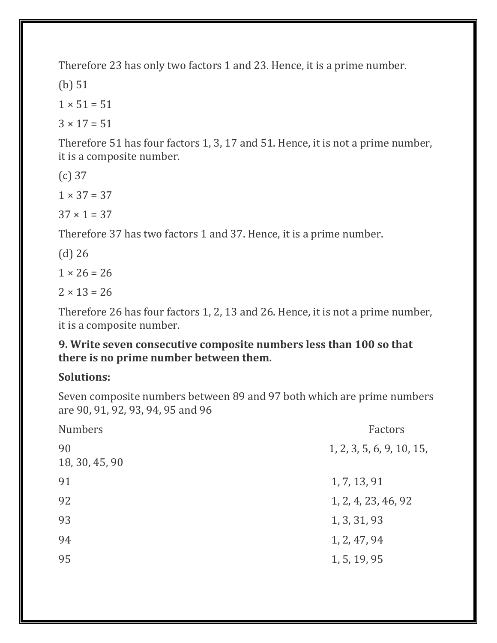Therefore 23 has only two factors 1 and 23. Hence, it is a prime number.

(b) 51

 $1 \times 51 = 51$ 

 $3 \times 17 = 51$ 

Therefore 51 has four factors 1, 3, 17 and 51. Hence, it is not a prime number, it is a composite number.

(c) 37

 $1 \times 37 = 37$ 

 $37 \times 1 = 37$ 

Therefore 37 has two factors 1 and 37. Hence, it is a prime number.

(d) 26

 $1 \times 26 = 26$ 

 $2 \times 13 = 26$ 

Therefore 26 has four factors 1, 2, 13 and 26. Hence, it is not a prime number, it is a composite number.

#### **9. Write seven consecutive composite numbers less than 100 so that there is no prime number between them.**

#### **Solutions:**

Seven composite numbers between 89 and 97 both which are prime numbers are 90, 91, 92, 93, 94, 95 and 96

| <b>Numbers</b>       | Factors                   |
|----------------------|---------------------------|
| 90<br>18, 30, 45, 90 | 1, 2, 3, 5, 6, 9, 10, 15, |
| 91                   | 1, 7, 13, 91              |
| 92                   | 1, 2, 4, 23, 46, 92       |
| 93                   | 1, 3, 31, 93              |
| 94                   | 1, 2, 47, 94              |
| 95                   | 1, 5, 19, 95              |
|                      |                           |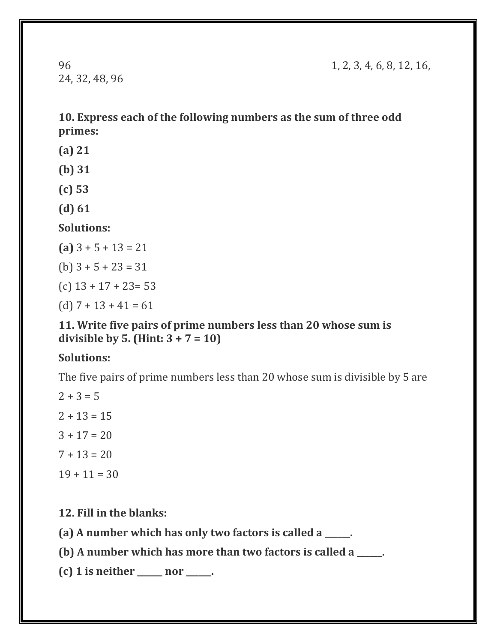24, 32, 48, 96

96 1, 2, 3, 4, 6, 8, 12, 16,

**10. Express each of the following numbers as the sum of three odd primes:**

- **(a) 21**
- **(b) 31**
- **(c) 53**
- **(d) 61**

#### **Solutions:**

- **(a)** 3 + 5 + 13 = 21
- (b)  $3 + 5 + 23 = 31$
- (c) 13 + 17 + 23= 53
- (d)  $7 + 13 + 41 = 61$

#### **11. Write five pairs of prime numbers less than 20 whose sum is divisible by 5. (Hint: 3 + 7 = 10)**

#### **Solutions:**

The five pairs of prime numbers less than 20 whose sum is divisible by 5 are

 $2 + 3 = 5$  $2 + 13 = 15$  $3 + 17 = 20$  $7 + 13 = 20$  $19 + 11 = 30$ 

**12. Fill in the blanks:**

**(a) A number which has only two factors is called a \_\_\_\_\_\_.**

**(b) A number which has more than two factors is called a \_\_\_\_\_\_.**

**(c) 1 is neither \_\_\_\_\_\_ nor \_\_\_\_\_\_.**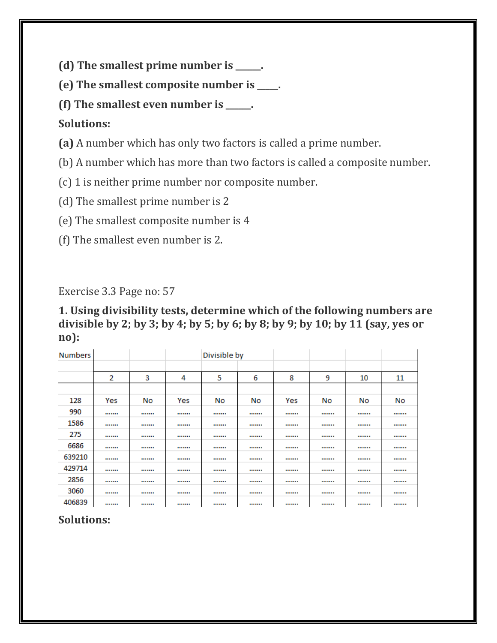**(d) The smallest prime number is \_\_\_\_\_\_.**

**(e) The smallest composite number is \_\_\_\_\_.**

**(f) The smallest even number is \_\_\_\_\_\_.**

## **Solutions:**

**(a)** A number which has only two factors is called a prime number.

(b) A number which has more than two factors is called a composite number.

(c) 1 is neither prime number nor composite number.

(d) The smallest prime number is 2

(e) The smallest composite number is 4

(f) The smallest even number is 2.

Exercise 3.3 Page no: 57

**1. Using divisibility tests, determine which of the following numbers are divisible by 2; by 3; by 4; by 5; by 6; by 8; by 9; by 10; by 11 (say, yes or no):**

| <b>Numbers</b> |     |    |     | Divisible by |    |     |    |    |    |
|----------------|-----|----|-----|--------------|----|-----|----|----|----|
|                |     |    |     |              |    |     |    |    |    |
|                | 2   | 3  | 4   | 5            | 6  | 8   | 9  | 10 | 11 |
|                |     |    |     |              |    |     |    |    |    |
| 128            | Yes | No | Yes | No           | No | Yes | No | No | No |
| 990            |     |    |     |              |    |     |    |    |    |
| 1586           |     |    |     |              |    |     |    |    |    |
| 275            |     |    |     |              |    |     |    |    |    |
| 6686           |     |    |     |              |    |     |    |    |    |
| 639210         |     |    |     |              |    |     |    |    |    |
| 429714         |     |    |     |              |    |     |    |    |    |
| 2856           |     |    |     |              |    |     |    |    |    |
| 3060           |     |    |     |              |    |     |    |    |    |
| 406839         |     |    |     |              |    |     |    |    |    |

# **Solutions:**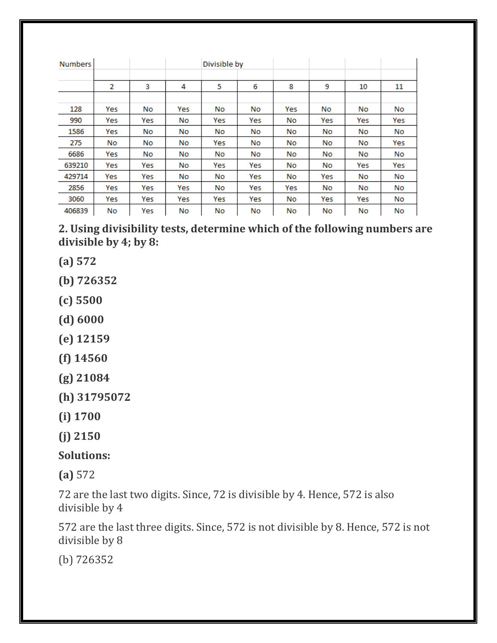| <b>Numbers</b> |                |     |     | Divisible by |     |     |     |     |     |
|----------------|----------------|-----|-----|--------------|-----|-----|-----|-----|-----|
|                | $\overline{2}$ | 3   | 4   | 5            | 6   | 8   | 9   | 10  | 11  |
|                |                |     |     |              |     |     |     |     |     |
| 128            | Yes            | No  | Yes | No           | No  | Yes | No  | No  | No  |
| 990            | Yes            | Yes | No  | Yes          | Yes | No  | Yes | Yes | Yes |
| 1586           | Yes            | No  | No  | No           | No  | No  | No  | No  | No  |
| 275            | No             | No  | No  | Yes          | No  | No  | No  | No  | Yes |
| 6686           | Yes            | No  | No  | No           | No  | No  | No  | No  | No  |
| 639210         | Yes            | Yes | No  | Yes          | Yes | No  | No  | Yes | Yes |
| 429714         | Yes            | Yes | No  | No           | Yes | No  | Yes | No  | No  |
| 2856           | Yes            | Yes | Yes | No           | Yes | Yes | No  | No  | No  |
| 3060           | Yes            | Yes | Yes | Yes          | Yes | No  | Yes | Yes | No  |
| 406839         | No             | Yes | No  | No           | No  | No  | No  | No  | No  |

**2. Using divisibility tests, determine which of the following numbers are divisible by 4; by 8:**

**(a) 572**

**(b) 726352**

- **(c) 5500**
- **(d) 6000**
- **(e) 12159**
- **(f) 14560**
- **(g) 21084**
- **(h) 31795072**

**(i) 1700**

**(j) 2150**

**Solutions:**

**(a)** 572

72 are the last two digits. Since, 72 is divisible by 4. Hence, 572 is also divisible by 4

572 are the last three digits. Since, 572 is not divisible by 8. Hence, 572 is not divisible by 8

(b) 726352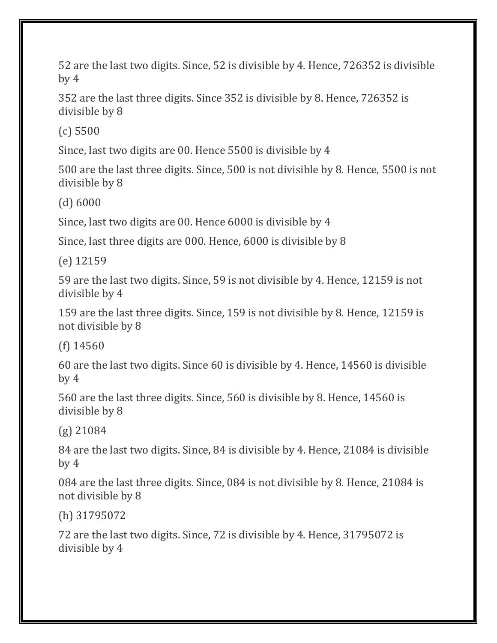52 are the last two digits. Since, 52 is divisible by 4. Hence, 726352 is divisible by 4

352 are the last three digits. Since 352 is divisible by 8. Hence, 726352 is divisible by 8

(c) 5500

Since, last two digits are 00. Hence 5500 is divisible by 4

500 are the last three digits. Since, 500 is not divisible by 8. Hence, 5500 is not divisible by 8

(d) 6000

Since, last two digits are 00. Hence 6000 is divisible by 4

Since, last three digits are 000. Hence, 6000 is divisible by 8

(e) 12159

59 are the last two digits. Since, 59 is not divisible by 4. Hence, 12159 is not divisible by 4

159 are the last three digits. Since, 159 is not divisible by 8. Hence, 12159 is not divisible by 8

(f) 14560

60 are the last two digits. Since 60 is divisible by 4. Hence, 14560 is divisible by 4

560 are the last three digits. Since, 560 is divisible by 8. Hence, 14560 is divisible by 8

(g) 21084

84 are the last two digits. Since, 84 is divisible by 4. Hence, 21084 is divisible by 4

084 are the last three digits. Since, 084 is not divisible by 8. Hence, 21084 is not divisible by 8

(h) 31795072

72 are the last two digits. Since, 72 is divisible by 4. Hence, 31795072 is divisible by 4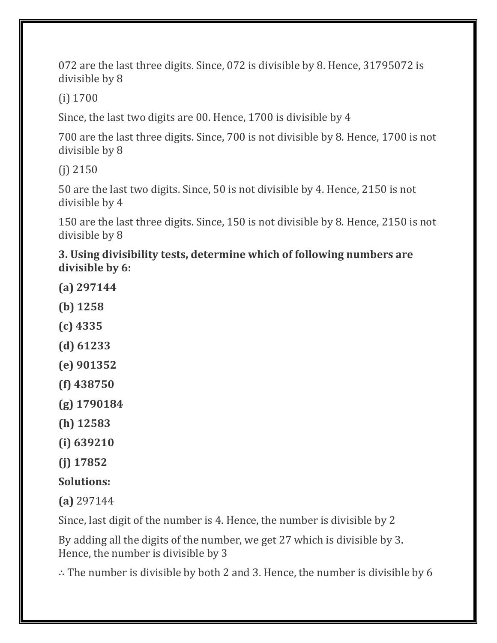072 are the last three digits. Since, 072 is divisible by 8. Hence, 31795072 is divisible by 8

(i) 1700

Since, the last two digits are 00. Hence, 1700 is divisible by 4

700 are the last three digits. Since, 700 is not divisible by 8. Hence, 1700 is not divisible by 8

(j) 2150

50 are the last two digits. Since, 50 is not divisible by 4. Hence, 2150 is not divisible by 4

150 are the last three digits. Since, 150 is not divisible by 8. Hence, 2150 is not divisible by 8

**3. Using divisibility tests, determine which of following numbers are divisible by 6:**

- **(a) 297144**
- **(b) 1258**
- **(c) 4335**
- **(d) 61233**
- **(e) 901352**
- **(f) 438750**
- **(g) 1790184**
- **(h) 12583**
- **(i) 639210**
- **(j) 17852**

# **Solutions:**

**(a)** 297144

Since, last digit of the number is 4. Hence, the number is divisible by 2

By adding all the digits of the number, we get 27 which is divisible by 3. Hence, the number is divisible by 3

∴ The number is divisible by both 2 and 3. Hence, the number is divisible by 6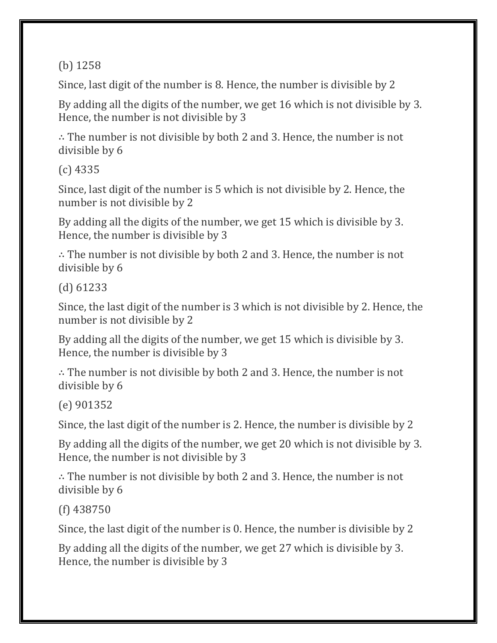(b) 1258

Since, last digit of the number is 8. Hence, the number is divisible by 2

By adding all the digits of the number, we get 16 which is not divisible by 3. Hence, the number is not divisible by 3

∴ The number is not divisible by both 2 and 3. Hence, the number is not divisible by 6

(c) 4335

Since, last digit of the number is 5 which is not divisible by 2. Hence, the number is not divisible by 2

By adding all the digits of the number, we get 15 which is divisible by 3. Hence, the number is divisible by 3

∴ The number is not divisible by both 2 and 3. Hence, the number is not divisible by 6

(d) 61233

Since, the last digit of the number is 3 which is not divisible by 2. Hence, the number is not divisible by 2

By adding all the digits of the number, we get 15 which is divisible by 3. Hence, the number is divisible by 3

∴ The number is not divisible by both 2 and 3. Hence, the number is not divisible by 6

(e) 901352

Since, the last digit of the number is 2. Hence, the number is divisible by 2

By adding all the digits of the number, we get 20 which is not divisible by 3. Hence, the number is not divisible by 3

∴ The number is not divisible by both 2 and 3. Hence, the number is not divisible by 6

(f) 438750

Since, the last digit of the number is 0. Hence, the number is divisible by 2

By adding all the digits of the number, we get 27 which is divisible by 3. Hence, the number is divisible by 3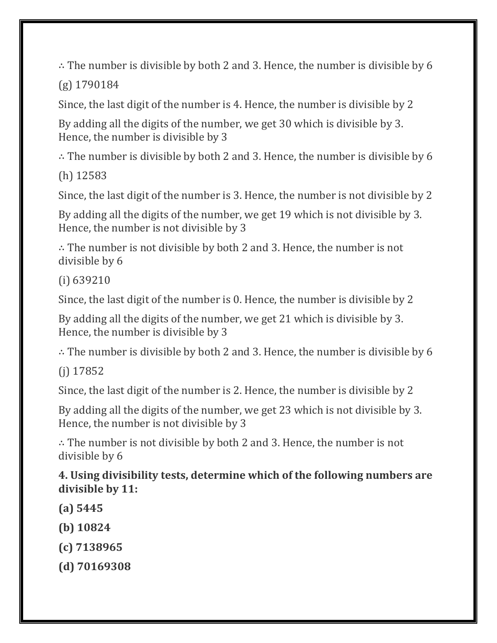∴ The number is divisible by both 2 and 3. Hence, the number is divisible by 6

(g) 1790184

Since, the last digit of the number is 4. Hence, the number is divisible by 2

By adding all the digits of the number, we get 30 which is divisible by 3. Hence, the number is divisible by 3

∴ The number is divisible by both 2 and 3. Hence, the number is divisible by 6

(h) 12583

Since, the last digit of the number is 3. Hence, the number is not divisible by 2

By adding all the digits of the number, we get 19 which is not divisible by 3. Hence, the number is not divisible by 3

∴ The number is not divisible by both 2 and 3. Hence, the number is not divisible by 6

(i) 639210

Since, the last digit of the number is 0. Hence, the number is divisible by 2

By adding all the digits of the number, we get 21 which is divisible by 3. Hence, the number is divisible by 3

∴ The number is divisible by both 2 and 3. Hence, the number is divisible by 6

(j) 17852

Since, the last digit of the number is 2. Hence, the number is divisible by 2

By adding all the digits of the number, we get 23 which is not divisible by 3. Hence, the number is not divisible by 3

∴ The number is not divisible by both 2 and 3. Hence, the number is not divisible by 6

**4. Using divisibility tests, determine which of the following numbers are divisible by 11:**

- **(a) 5445**
- **(b) 10824**
- **(c) 7138965**
- **(d) 70169308**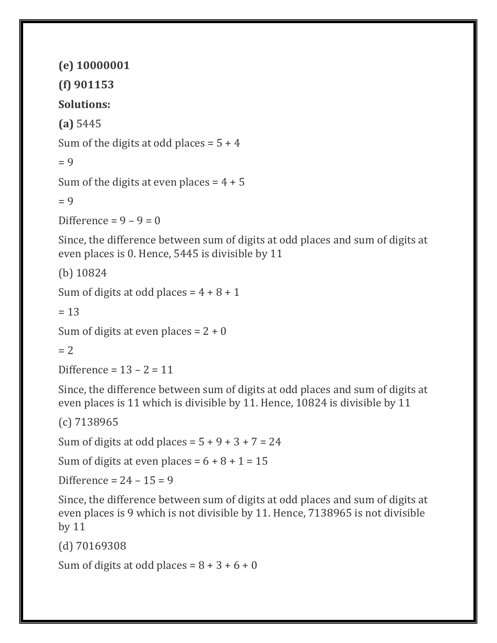**(e) 10000001**

**(f) 901153**

**Solutions:**

**(a)** 5445

Sum of the digits at odd places =  $5 + 4$ 

 $= 9$ 

Sum of the digits at even places  $= 4 + 5$ 

 $= 9$ 

Difference =  $9 - 9 = 0$ 

Since, the difference between sum of digits at odd places and sum of digits at even places is 0. Hence, 5445 is divisible by 11

(b) 10824

Sum of digits at odd places =  $4 + 8 + 1$ 

 $= 13$ 

```
Sum of digits at even places = 2 + 0
```
 $= 2$ 

Difference =  $13 - 2 = 11$ 

Since, the difference between sum of digits at odd places and sum of digits at even places is 11 which is divisible by 11. Hence, 10824 is divisible by 11

(c) 7138965

Sum of digits at odd places =  $5 + 9 + 3 + 7 = 24$ 

Sum of digits at even places =  $6 + 8 + 1 = 15$ 

Difference =  $24 - 15 = 9$ 

Since, the difference between sum of digits at odd places and sum of digits at even places is 9 which is not divisible by 11. Hence, 7138965 is not divisible by 11

(d) 70169308

Sum of digits at odd places =  $8 + 3 + 6 + 0$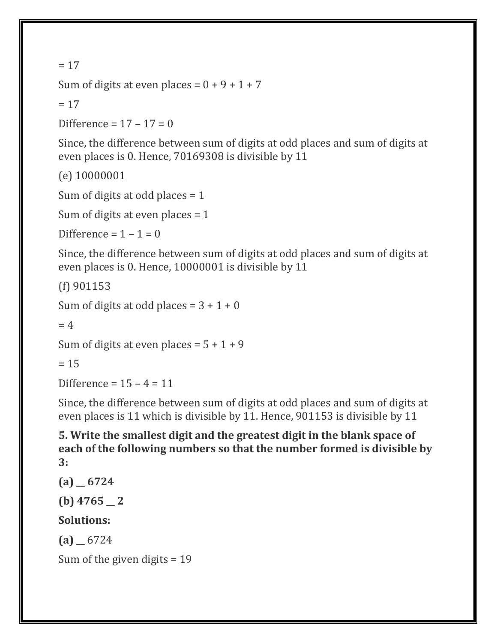#### $= 17$

Sum of digits at even places =  $0 + 9 + 1 + 7$ 

 $= 17$ 

Difference =  $17 - 17 = 0$ 

Since, the difference between sum of digits at odd places and sum of digits at even places is 0. Hence, 70169308 is divisible by 11

(e) 10000001

Sum of digits at odd places = 1

Sum of digits at even places = 1

Difference =  $1 - 1 = 0$ 

Since, the difference between sum of digits at odd places and sum of digits at even places is 0. Hence, 10000001 is divisible by 11

(f) 901153

Sum of digits at odd places =  $3 + 1 + 0$ 

 $= 4$ 

```
Sum of digits at even places = 5 + 1 + 9
```
 $= 15$ 

Difference =  $15 - 4 = 11$ 

Since, the difference between sum of digits at odd places and sum of digits at even places is 11 which is divisible by 11. Hence, 901153 is divisible by 11

**5. Write the smallest digit and the greatest digit in the blank space of each of the following numbers so that the number formed is divisible by 3:**

**(a) \_\_ 6724 (b) 4765 \_\_ 2**

**Solutions:**

 $(a)$  6724

Sum of the given digits = 19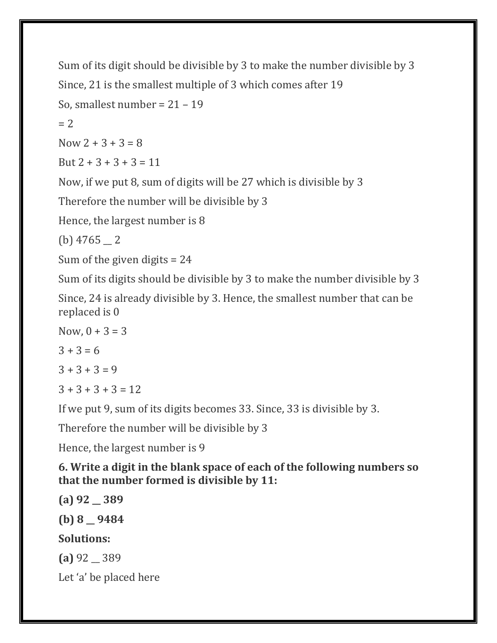```
Sum of its digit should be divisible by 3 to make the number divisible by 3
Since, 21 is the smallest multiple of 3 which comes after 19
So, smallest number = 21 - 19= 2Now 2 + 3 + 3 = 8But 2 + 3 + 3 + 3 = 11Now, if we put 8, sum of digits will be 27 which is divisible by 3
Therefore the number will be divisible by 3
Hence, the largest number is 8
(b) 4765 - 2
```
Sum of the given digits = 24

Sum of its digits should be divisible by 3 to make the number divisible by 3

Since, 24 is already divisible by 3. Hence, the smallest number that can be replaced is 0

```
Now, 0 + 3 = 3
```

```
3 + 3 = 6
```

```
3 + 3 + 3 = 9
```
 $3 + 3 + 3 + 3 = 12$ 

If we put 9, sum of its digits becomes 33. Since, 33 is divisible by 3.

Therefore the number will be divisible by 3

Hence, the largest number is 9

**6. Write a digit in the blank space of each of the following numbers so that the number formed is divisible by 11:**

**(a) 92 \_\_ 389 (b) 8 \_\_ 9484 Solutions: (a)** 92 \_\_ 389 Let 'a' be placed here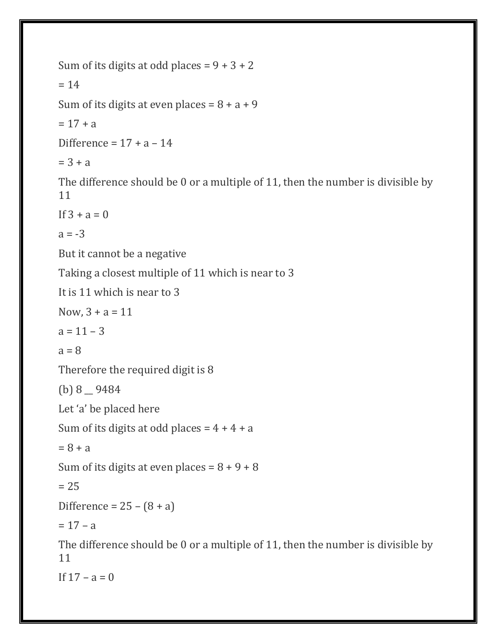```
Sum of its digits at odd places = 9 + 3 + 2= 14Sum of its digits at even places = 8 + a + 9= 17 + aDifference = 17 + a - 14= 3 + aThe difference should be 0 or a multiple of 11, then the number is divisible by 
11
If 3 + a = 0a = -3But it cannot be a negative
Taking a closest multiple of 11 which is near to 3
It is 11 which is near to 3
Now, 3 + a = 11a = 11 - 3a = 8Therefore the required digit is 8
(b) 8 __ 9484
Let 'a' be placed here
Sum of its digits at odd places = 4 + 4 + a= 8 + aSum of its digits at even places = 8 + 9 + 8= 25Difference = 25 - (8 + a)= 17 - aThe difference should be 0 or a multiple of 11, then the number is divisible by 
11
```
If  $17 - a = 0$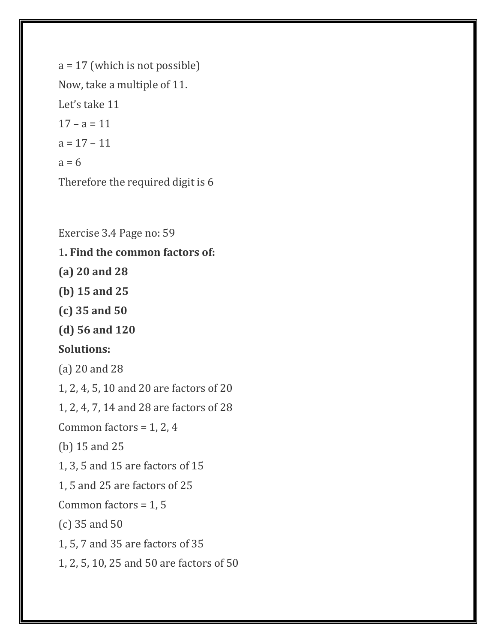a = 17 (which is not possible) Now, take a multiple of 11. Let's take 11  $17 - a = 11$  $a = 17 - 11$  $a = 6$ Therefore the required digit is 6

Exercise 3.4 Page no: 59 1**. Find the common factors of:**

**(a) 20 and 28**

**(b) 15 and 25**

**(c) 35 and 50**

**(d) 56 and 120**

#### **Solutions:**

(a) 20 and 28

1, 2, 4, 5, 10 and 20 are factors of 20

1, 2, 4, 7, 14 and 28 are factors of 28

Common factors = 1, 2, 4

(b) 15 and 25

1, 3, 5 and 15 are factors of 15

1, 5 and 25 are factors of 25

Common factors = 1, 5

(c) 35 and 50

1, 5, 7 and 35 are factors of 35

1, 2, 5, 10, 25 and 50 are factors of 50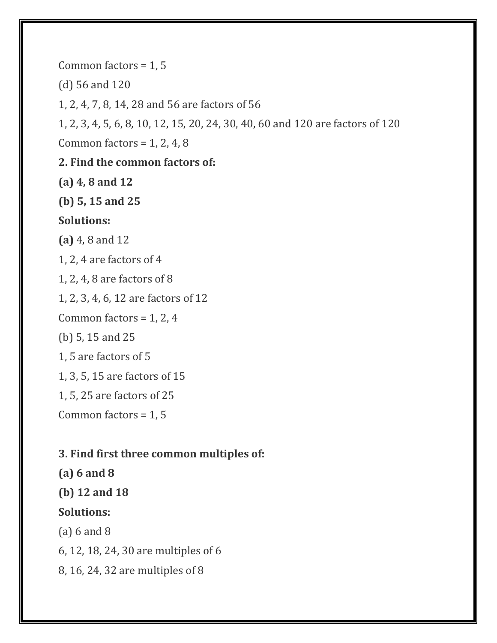Common factors = 1, 5

(d) 56 and 120

1, 2, 4, 7, 8, 14, 28 and 56 are factors of 56

1, 2, 3, 4, 5, 6, 8, 10, 12, 15, 20, 24, 30, 40, 60 and 120 are factors of 120

Common factors =  $1, 2, 4, 8$ 

#### **2. Find the common factors of:**

**(a) 4, 8 and 12**

**(b) 5, 15 and 25**

#### **Solutions:**

**(a)** 4, 8 and 12

1, 2, 4 are factors of 4

1, 2, 4, 8 are factors of 8

1, 2, 3, 4, 6, 12 are factors of 12

Common factors =  $1, 2, 4$ 

(b) 5, 15 and 25

1, 5 are factors of 5

1, 3, 5, 15 are factors of 15

1, 5, 25 are factors of 25

Common factors = 1, 5

#### **3. Find first three common multiples of:**

**(a) 6 and 8**

**(b) 12 and 18**

#### **Solutions:**

(a) 6 and 8

6, 12, 18, 24, 30 are multiples of 6

8, 16, 24, 32 are multiples of 8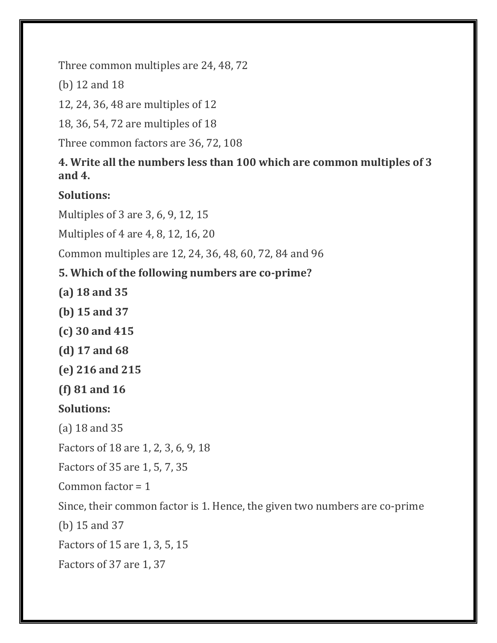Three common multiples are 24, 48, 72

(b) 12 and 18

12, 24, 36, 48 are multiples of 12

18, 36, 54, 72 are multiples of 18

Three common factors are 36, 72, 108

**4. Write all the numbers less than 100 which are common multiples of 3 and 4.**

**Solutions:**

Multiples of 3 are 3, 6, 9, 12, 15

Multiples of 4 are 4, 8, 12, 16, 20

Common multiples are 12, 24, 36, 48, 60, 72, 84 and 96

# **5. Which of the following numbers are co-prime?**

**(a) 18 and 35**

- **(b) 15 and 37**
- **(c) 30 and 415**
- **(d) 17 and 68**
- **(e) 216 and 215**

**(f) 81 and 16**

# **Solutions:**

(a) 18 and 35

Factors of 18 are 1, 2, 3, 6, 9, 18

Factors of 35 are 1, 5, 7, 35

Common factor  $= 1$ 

Since, their common factor is 1. Hence, the given two numbers are co-prime

(b) 15 and 37

Factors of 15 are 1, 3, 5, 15

Factors of 37 are 1, 37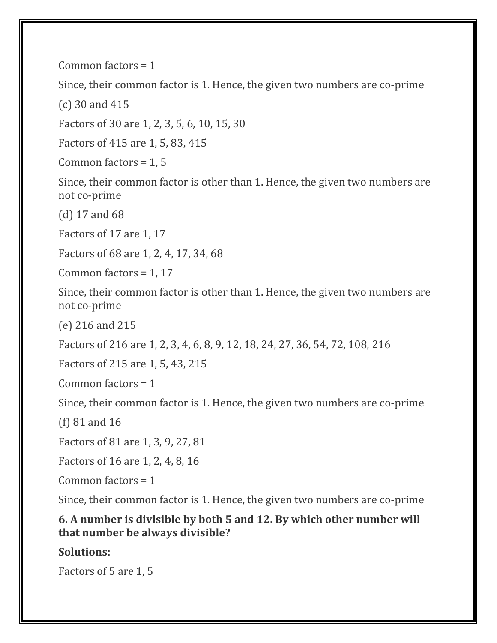Common factors = 1

Since, their common factor is 1. Hence, the given two numbers are co-prime

(c) 30 and 415

Factors of 30 are 1, 2, 3, 5, 6, 10, 15, 30

Factors of 415 are 1, 5, 83, 415

Common factors = 1, 5

Since, their common factor is other than 1. Hence, the given two numbers are not co-prime

(d) 17 and 68

Factors of 17 are 1, 17

Factors of 68 are 1, 2, 4, 17, 34, 68

Common factors = 1, 17

Since, their common factor is other than 1. Hence, the given two numbers are not co-prime

(e) 216 and 215

Factors of 216 are 1, 2, 3, 4, 6, 8, 9, 12, 18, 24, 27, 36, 54, 72, 108, 216

Factors of 215 are 1, 5, 43, 215

Common factors = 1

Since, their common factor is 1. Hence, the given two numbers are co-prime

(f) 81 and 16

Factors of 81 are 1, 3, 9, 27, 81

Factors of 16 are 1, 2, 4, 8, 16

Common factors = 1

Since, their common factor is 1. Hence, the given two numbers are co-prime

**6. A number is divisible by both 5 and 12. By which other number will that number be always divisible?**

**Solutions:**

Factors of 5 are 1, 5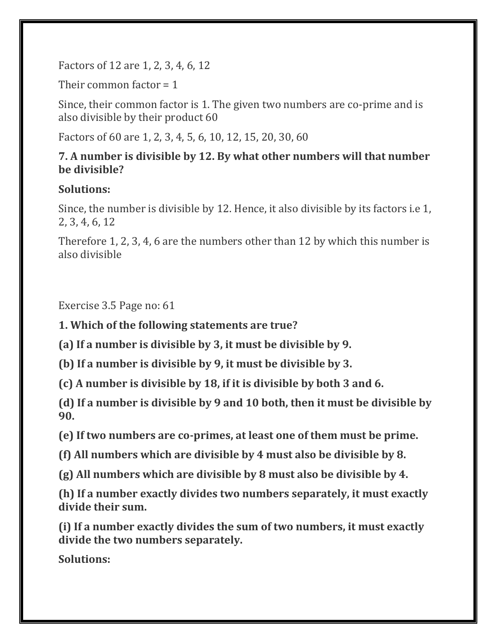Factors of 12 are 1, 2, 3, 4, 6, 12

Their common factor = 1

Since, their common factor is 1. The given two numbers are co-prime and is also divisible by their product 60

Factors of 60 are 1, 2, 3, 4, 5, 6, 10, 12, 15, 20, 30, 60

## **7. A number is divisible by 12. By what other numbers will that number be divisible?**

## **Solutions:**

Since, the number is divisible by 12. Hence, it also divisible by its factors i.e 1, 2, 3, 4, 6, 12

Therefore 1, 2, 3, 4, 6 are the numbers other than 12 by which this number is also divisible

Exercise 3.5 Page no: 61

**1. Which of the following statements are true?**

**(a) If a number is divisible by 3, it must be divisible by 9.**

**(b) If a number is divisible by 9, it must be divisible by 3.**

**(c) A number is divisible by 18, if it is divisible by both 3 and 6.**

**(d) If a number is divisible by 9 and 10 both, then it must be divisible by 90.**

**(e) If two numbers are co-primes, at least one of them must be prime.**

**(f) All numbers which are divisible by 4 must also be divisible by 8.**

**(g) All numbers which are divisible by 8 must also be divisible by 4.**

**(h) If a number exactly divides two numbers separately, it must exactly divide their sum.**

**(i) If a number exactly divides the sum of two numbers, it must exactly divide the two numbers separately.**

**Solutions:**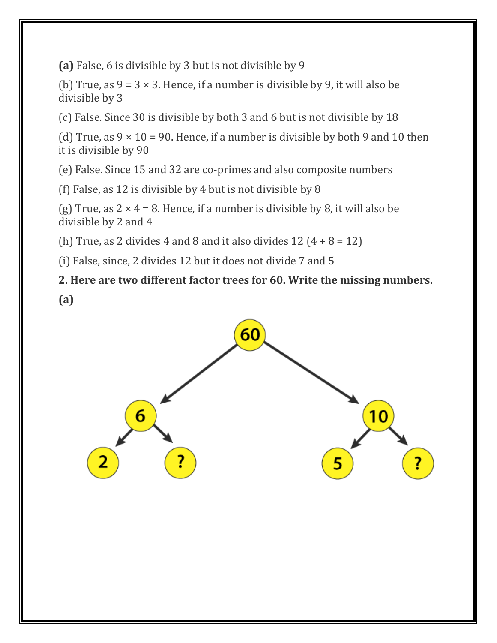**(a)** False, 6 is divisible by 3 but is not divisible by 9

(b) True, as  $9 = 3 \times 3$ . Hence, if a number is divisible by 9, it will also be divisible by 3

(c) False. Since 30 is divisible by both 3 and 6 but is not divisible by 18

(d) True, as  $9 \times 10 = 90$ . Hence, if a number is divisible by both 9 and 10 then it is divisible by 90

(e) False. Since 15 and 32 are co-primes and also composite numbers

(f) False, as 12 is divisible by 4 but is not divisible by 8

(g) True, as  $2 \times 4 = 8$ . Hence, if a number is divisible by 8, it will also be divisible by 2 and 4

(h) True, as 2 divides 4 and 8 and it also divides  $12(4+8=12)$ 

(i) False, since, 2 divides 12 but it does not divide 7 and 5

**2. Here are two different factor trees for 60. Write the missing numbers.**

**(a)**

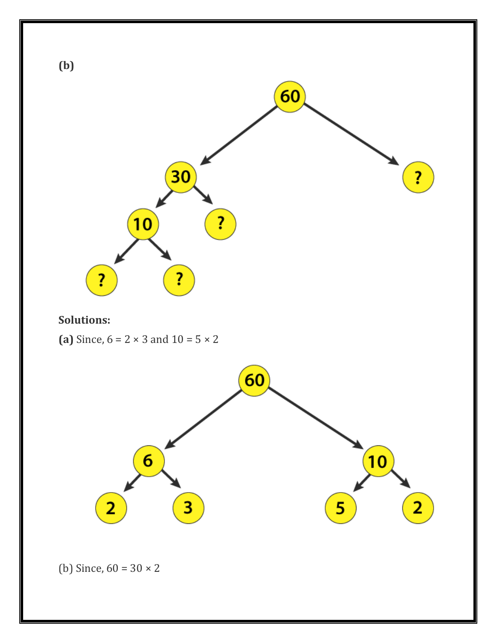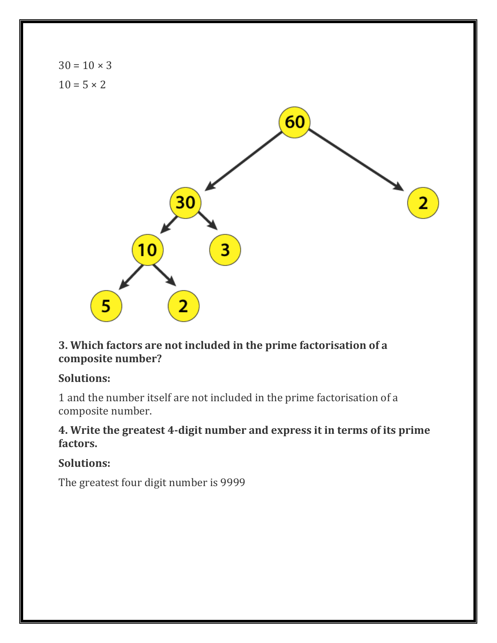

#### **3. Which factors are not included in the prime factorisation of a composite number?**

#### **Solutions:**

1 and the number itself are not included in the prime factorisation of a composite number.

#### **4. Write the greatest 4-digit number and express it in terms of its prime factors.**

#### **Solutions:**

The greatest four digit number is 9999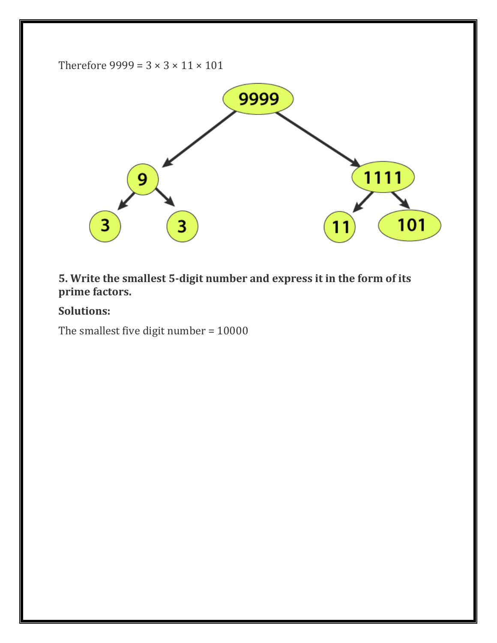

## **5. Write the smallest 5-digit number and express it in the form of its prime factors.**

## **Solutions:**

The smallest five digit number = 10000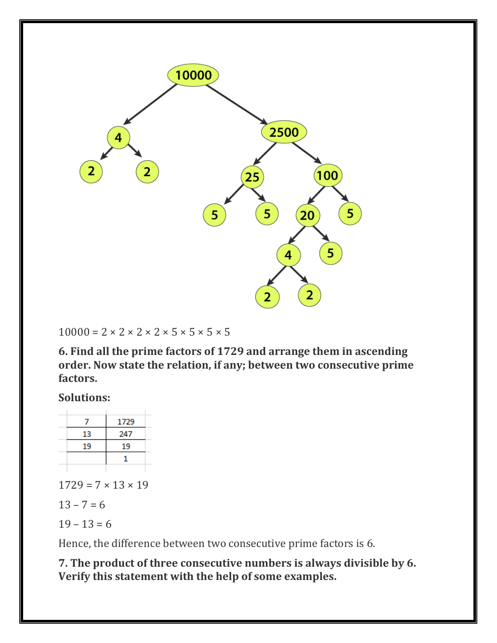

 $10000 = 2 \times 2 \times 2 \times 2 \times 5 \times 5 \times 5 \times 5$ 

**6. Find all the prime factors of 1729 and arrange them in ascending order. Now state the relation, if any; between two consecutive prime factors.**

**Solutions:**

|    | 1729 |
|----|------|
| 13 | 247  |
| 19 | 19   |
|    |      |
|    |      |

 $1729 = 7 \times 13 \times 19$ 

 $13 - 7 = 6$ 

 $19 - 13 = 6$ 

Hence, the difference between two consecutive prime factors is 6.

**7. The product of three consecutive numbers is always divisible by 6. Verify this statement with the help of some examples.**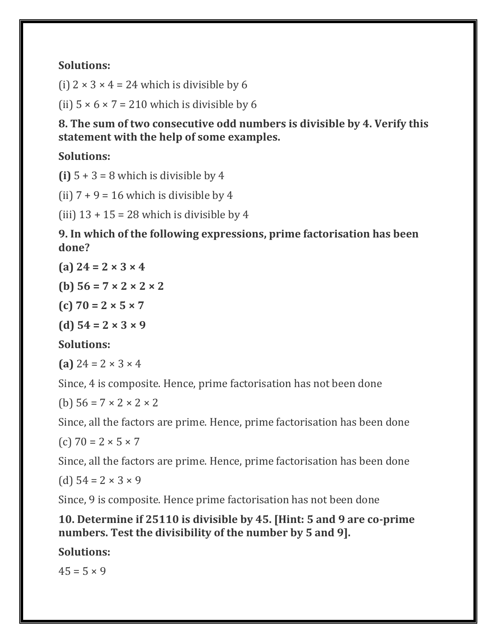## **Solutions:**

(i)  $2 \times 3 \times 4 = 24$  which is divisible by 6

(ii)  $5 \times 6 \times 7 = 210$  which is divisible by 6

**8. The sum of two consecutive odd numbers is divisible by 4. Verify this statement with the help of some examples.**

**Solutions:**

**(i)**  $5 + 3 = 8$  which is divisible by 4

(ii)  $7 + 9 = 16$  which is divisible by 4

(iii)  $13 + 15 = 28$  which is divisible by 4

**9. In which of the following expressions, prime factorisation has been done?**

**(a) 24 = 2 × 3 × 4**

**(b) 56 = 7 × 2 × 2 × 2**

**(c) 70 = 2 × 5 × 7**

**(d) 54 = 2 × 3 × 9**

**Solutions:**

**(a)**  $24 = 2 \times 3 \times 4$ 

Since, 4 is composite. Hence, prime factorisation has not been done

(b)  $56 = 7 \times 2 \times 2 \times 2$ 

Since, all the factors are prime. Hence, prime factorisation has been done

(c)  $70 = 2 \times 5 \times 7$ 

Since, all the factors are prime. Hence, prime factorisation has been done

(d)  $54 = 2 \times 3 \times 9$ 

Since, 9 is composite. Hence prime factorisation has not been done

#### **10. Determine if 25110 is divisible by 45. [Hint: 5 and 9 are co-prime numbers. Test the divisibility of the number by 5 and 9].**

**Solutions:**

 $45 = 5 \times 9$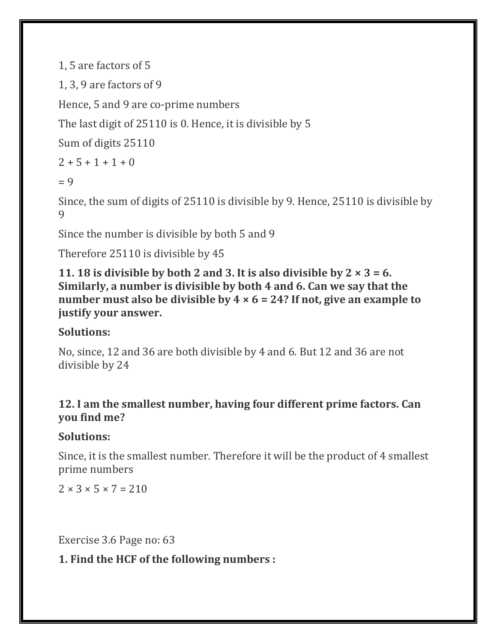```
1, 5 are factors of 5
```
1, 3, 9 are factors of 9

Hence, 5 and 9 are co-prime numbers

The last digit of 25110 is 0. Hence, it is divisible by 5

Sum of digits 25110

```
2 + 5 + 1 + 1 + 0
```
 $= 9$ 

Since, the sum of digits of 25110 is divisible by 9. Hence, 25110 is divisible by 9

Since the number is divisible by both 5 and 9

Therefore 25110 is divisible by 45

**11. 18 is divisible by both 2 and 3. It is also divisible by 2 × 3 = 6. Similarly, a number is divisible by both 4 and 6. Can we say that the number must also be divisible by 4 × 6 = 24? If not, give an example to justify your answer.**

# **Solutions:**

No, since, 12 and 36 are both divisible by 4 and 6. But 12 and 36 are not divisible by 24

## **12. I am the smallest number, having four different prime factors. Can you find me?**

# **Solutions:**

Since, it is the smallest number. Therefore it will be the product of 4 smallest prime numbers

 $2 \times 3 \times 5 \times 7 = 210$ 

Exercise 3.6 Page no: 63

**1. Find the HCF of the following numbers :**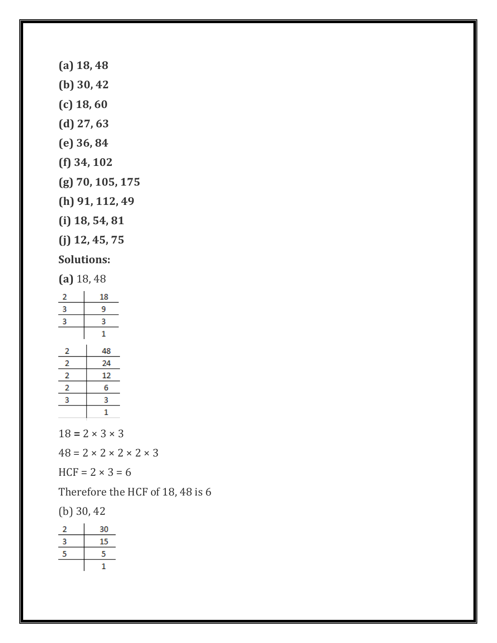**(a) 18, 48 (b) 30, 42 (c) 18, 60 (d) 27, 63 (e) 36, 84 (f) 34, 102 (g) 70, 105, 175 (h) 91, 112, 49 (i) 18, 54, 81 (j) 12, 45, 75**

# **Solutions:**

**(a)** 18, 48

| 2              | 18 |  |  |
|----------------|----|--|--|
| 3              | 9  |  |  |
| 3              | 3  |  |  |
|                | 1  |  |  |
| 2              | 48 |  |  |
| 2              | 24 |  |  |
| 2              | 12 |  |  |
| $\overline{a}$ | 6  |  |  |
| 3              | 3  |  |  |
|                | 1  |  |  |

 $18 = 2 \times 3 \times 3$ 

 $48 = 2 \times 2 \times 2 \times 2 \times 3$ 

 $HCF = 2 \times 3 = 6$ 

Therefore the HCF of 18, 48 is 6

(b) 30, 42

|   | 30 |
|---|----|
| 3 | 15 |
| 5 | 5  |
|   |    |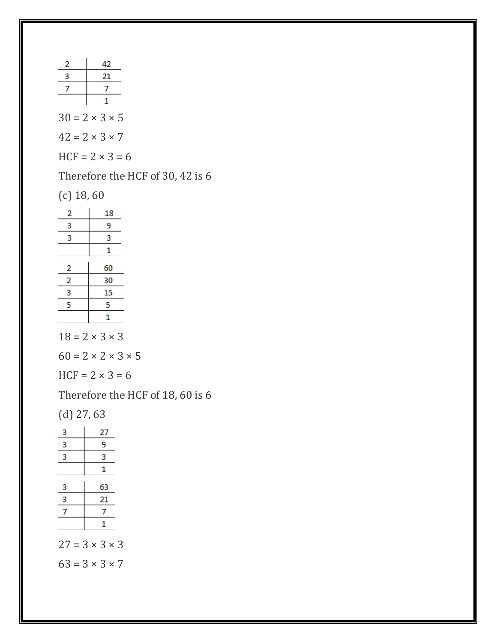| 2 | 42                         |
|---|----------------------------|
|   | 21                         |
|   |                            |
|   |                            |
|   | $30 = 2 \times 3 \times 5$ |
|   | $42 = 2 \times 3 \times 7$ |
|   | $HCF = 2 \times 3 = 6$     |

Therefore the HCF of 30, 42 is 6

(c) 18, 60

| 2 | 18 |
|---|----|
| 3 | 9  |
| 3 | 3  |
|   | 1  |
|   |    |
| 2 | 60 |
| 2 | 30 |
| 3 | 15 |
| 5 | 5  |
|   | 1  |

 $18 = 2 \times 3 \times 3$ 

 $60 = 2 \times 2 \times 3 \times 5$ 

 $HCF = 2 \times 3 = 6$ 

Therefore the HCF of 18, 60 is 6

(d) 27, 63

| 3              | 27                         |
|----------------|----------------------------|
| 3              | 9                          |
| $\overline{3}$ | 3                          |
|                | 1                          |
| 3              | 63                         |
| $\overline{3}$ | 21                         |
| 7              |                            |
|                | 1                          |
|                | $27 = 3 \times 3 \times 3$ |
|                | $63 = 3 \times 3 \times 7$ |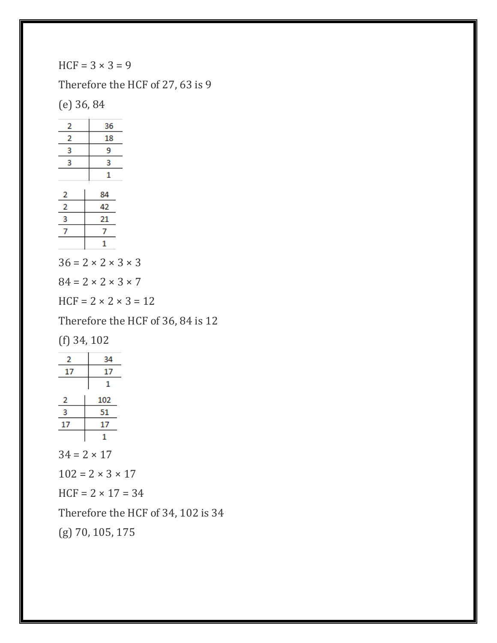$HCF = 3 \times 3 = 9$ 

Therefore the HCF of 27, 63 is 9

(e) 36, 84

| $\overline{a}$ | 36 |
|----------------|----|
| 2              | 18 |
| 3              | 9  |
| 3              | 3  |
|                | 1  |
|                |    |
|                | 84 |
| $\frac{2}{2}$  | 42 |
| 3              | 21 |
| 7              | 7  |
|                | 1  |

 $36 = 2 \times 2 \times 3 \times 3$ 

 $84 = 2 \times 2 \times 3 \times 7$ 

 $HCF = 2 \times 2 \times 3 = 12$ 

Therefore the HCF of 36, 84 is 12

(f) 34, 102

| 2  |    | 34  |
|----|----|-----|
| 17 |    | 17  |
|    |    | 1   |
| 2  |    | 102 |
| 3  |    | 51  |
| 17 | 17 |     |
|    |    |     |

 $34 = 2 \times 17$ 

 $102 = 2 \times 3 \times 17$ 

 $HCF = 2 \times 17 = 34$ 

Therefore the HCF of 34, 102 is 34

(g) 70, 105, 175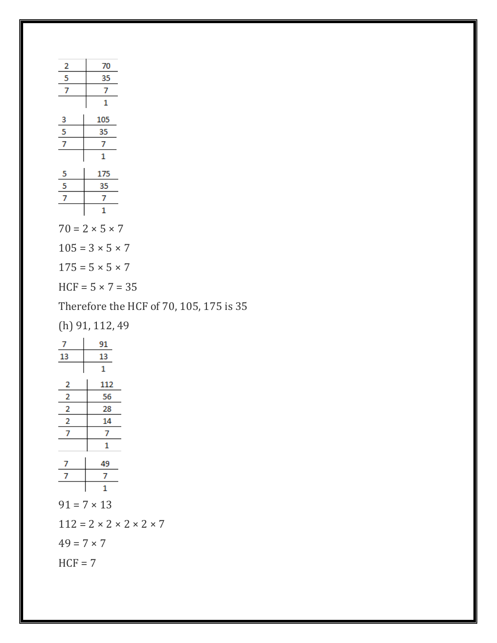| 2                       | 70                          |                                         |
|-------------------------|-----------------------------|-----------------------------------------|
| $\overline{\mathbf{5}}$ | 35                          |                                         |
| $\overline{7}$          | 7                           |                                         |
|                         | 1                           |                                         |
| $\overline{\mathbf{3}}$ | 105                         |                                         |
| $\frac{5}{7}$           | 35                          |                                         |
|                         | 7                           |                                         |
|                         | 1                           |                                         |
|                         | 175                         |                                         |
| $\frac{5}{5}$           | 35                          |                                         |
|                         | 7                           |                                         |
|                         | 1                           |                                         |
|                         | $70 = 2 \times 5 \times 7$  |                                         |
|                         | $105 = 3 \times 5 \times 7$ |                                         |
|                         | $175 = 5 \times 5 \times 7$ |                                         |
|                         | $HCF = 5 \times 7 = 35$     |                                         |
|                         |                             | Therefore the HCF of 70, 105, 175 is 35 |

(h) 91, 112, 49

| 7                                             | 91                 |  |  |  |  |
|-----------------------------------------------|--------------------|--|--|--|--|
| 13                                            | 13                 |  |  |  |  |
|                                               | 1                  |  |  |  |  |
| $\overline{a}$                                | 112                |  |  |  |  |
| $\overline{2}$                                | 56                 |  |  |  |  |
| $\frac{1}{2}$                                 | 28                 |  |  |  |  |
| $\overline{2}$                                | 14                 |  |  |  |  |
| 7                                             | 7                  |  |  |  |  |
|                                               | 1                  |  |  |  |  |
| 7                                             | 49                 |  |  |  |  |
| 7                                             | 7                  |  |  |  |  |
|                                               | 1                  |  |  |  |  |
|                                               | $91 = 7 \times 13$ |  |  |  |  |
| $112 = 2 \times 2 \times 2 \times 2 \times 7$ |                    |  |  |  |  |
| $49 = 7 \times 7$                             |                    |  |  |  |  |
| $HCF = 7$                                     |                    |  |  |  |  |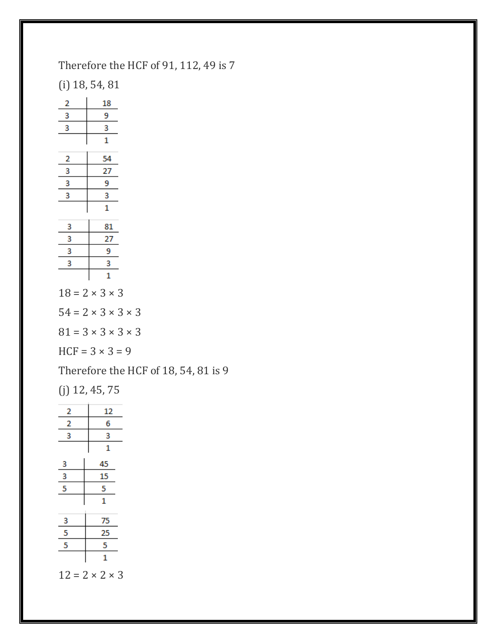Therefore the HCF of 91, 112, 49 is 7

(i) 18, 54, 81

| $\overline{\mathbf{c}}$ | 18                         |  |  |
|-------------------------|----------------------------|--|--|
| $\frac{3}{2}$           | 9                          |  |  |
| 3                       | 3                          |  |  |
|                         | $\overline{1}$             |  |  |
| $\overline{\mathbf{c}}$ | 54                         |  |  |
| 3                       | 27                         |  |  |
| 3                       | 9                          |  |  |
| 3                       | 3                          |  |  |
|                         | $\overline{1}$             |  |  |
| 3                       | 81                         |  |  |
| 3                       | 27                         |  |  |
| 3                       | 9                          |  |  |
| 3                       | 3                          |  |  |
|                         | 1                          |  |  |
|                         | $18 = 2 \times 3 \times 3$ |  |  |

 $54 = 2 \times 3 \times 3 \times 3$ 

 $81 = 3 \times 3 \times 3 \times 3$ 

 $HCF = 3 \times 3 = 9$ 

Therefore the HCF of 18, 54, 81 is 9

(j) 12, 45, 75

|                         | 12                         |  |
|-------------------------|----------------------------|--|
| $\frac{2}{2}$           | 6                          |  |
| 3                       | 3                          |  |
|                         | 1                          |  |
| $\overline{\mathbf{3}}$ | 45                         |  |
| $\frac{3}{5}$           | <u>15</u>                  |  |
|                         | $\overline{5}$             |  |
|                         | $\mathbf{1}$               |  |
| $\overline{\mathbf{3}}$ | 75                         |  |
| $\frac{5}{5}$           | 25                         |  |
|                         | 5                          |  |
|                         | 1                          |  |
|                         | $12 = 2 \times 2 \times 3$ |  |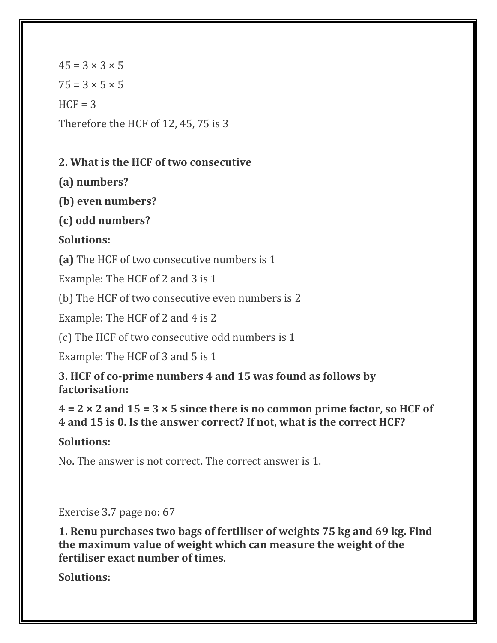$45 = 3 \times 3 \times 5$  $75 = 3 \times 5 \times 5$  $HCF = 3$ Therefore the HCF of 12, 45, 75 is 3

# **2. What is the HCF of two consecutive**

**(a) numbers?**

**(b) even numbers?**

**(c) odd numbers?**

# **Solutions:**

**(a)** The HCF of two consecutive numbers is 1

Example: The HCF of 2 and 3 is 1

(b) The HCF of two consecutive even numbers is 2

Example: The HCF of 2 and 4 is 2

(c) The HCF of two consecutive odd numbers is 1

Example: The HCF of 3 and 5 is 1

**3. HCF of co-prime numbers 4 and 15 was found as follows by factorisation:**

**4 = 2 × 2 and 15 = 3 × 5 since there is no common prime factor, so HCF of 4 and 15 is 0. Is the answer correct? If not, what is the correct HCF?**

# **Solutions:**

No. The answer is not correct. The correct answer is 1.

Exercise 3.7 page no: 67

**1. Renu purchases two bags of fertiliser of weights 75 kg and 69 kg. Find the maximum value of weight which can measure the weight of the fertiliser exact number of times.**

**Solutions:**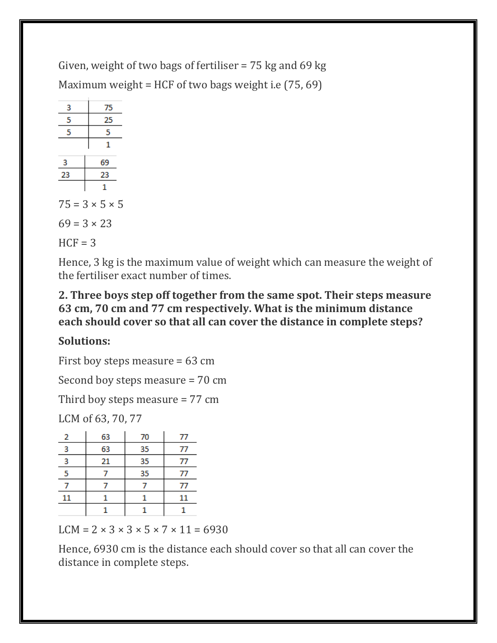Given, weight of two bags of fertiliser = 75 kg and 69 kg Maximum weight = HCF of two bags weight i.e  $(75, 69)$ 



Hence, 3 kg is the maximum value of weight which can measure the weight of the fertiliser exact number of times.

#### **2. Three boys step off together from the same spot. Their steps measure 63 cm, 70 cm and 77 cm respectively. What is the minimum distance each should cover so that all can cover the distance in complete steps?**

# **Solutions:**

First boy steps measure = 63 cm

Second boy steps measure = 70 cm

Third boy steps measure = 77 cm

LCM of 63, 70, 77

| 2  | 63 | 70 | 77 |
|----|----|----|----|
| 3  | 63 | 35 | 77 |
| 3  | 21 | 35 | 77 |
| 5  |    | 35 | 77 |
|    |    |    | 77 |
| 11 |    |    | 11 |
|    |    |    |    |

LCM =  $2 \times 3 \times 3 \times 5 \times 7 \times 11 = 6930$ 

Hence, 6930 cm is the distance each should cover so that all can cover the distance in complete steps.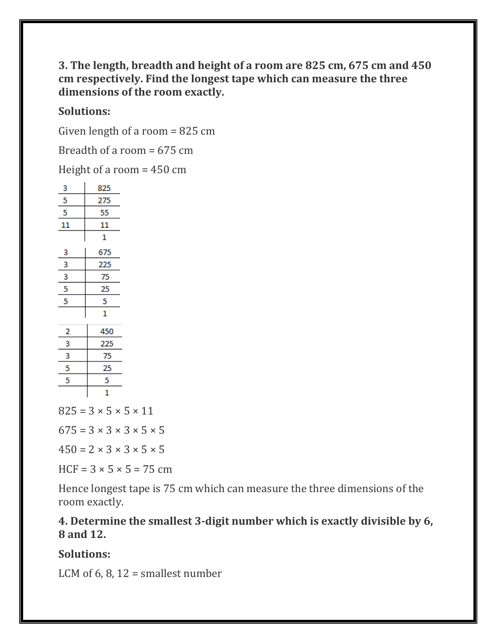#### **3. The length, breadth and height of a room are 825 cm, 675 cm and 450 cm respectively. Find the longest tape which can measure the three dimensions of the room exactly.**

#### **Solutions:**

Given length of a room = 825 cm

Breadth of a room = 675 cm

Height of a room = 450 cm

| з              | 825         |  |  |
|----------------|-------------|--|--|
| 5              | 275         |  |  |
| 5              | 55          |  |  |
| 11             | 11          |  |  |
|                | $\mathbf 1$ |  |  |
| 3              | 675         |  |  |
| 3              | 225         |  |  |
| 3              | 75          |  |  |
| 5              | 25          |  |  |
| 5              | 5           |  |  |
|                | 1           |  |  |
| $\overline{a}$ | 450         |  |  |
| 3              | 225         |  |  |
| 3              | 75          |  |  |
| 5              | 25          |  |  |
| 5              | 5           |  |  |
|                | 1           |  |  |

 $825 = 3 \times 5 \times 5 \times 11$ 

 $675 = 3 \times 3 \times 3 \times 5 \times 5$ 

 $450 = 2 \times 3 \times 3 \times 5 \times 5$ 

 $HCF = 3 \times 5 \times 5 = 75$  cm

Hence longest tape is 75 cm which can measure the three dimensions of the room exactly.

#### **4. Determine the smallest 3-digit number which is exactly divisible by 6, 8 and 12.**

#### **Solutions:**

LCM of  $6, 8, 12$  = smallest number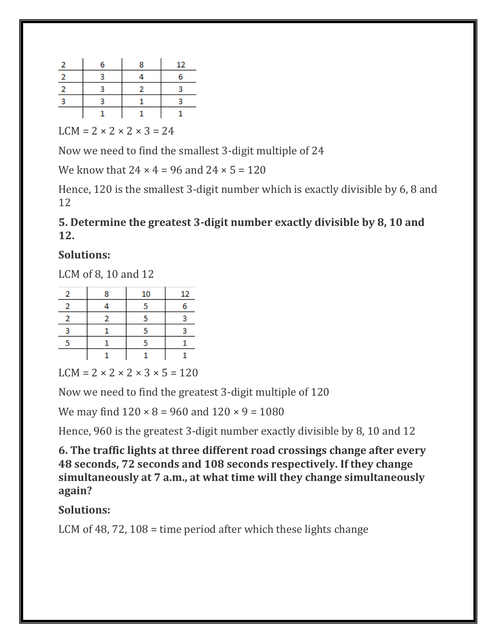| 6 | я | 12 |
|---|---|----|
|   |   |    |
|   |   |    |
|   |   |    |
|   |   |    |

 $LCM = 2 \times 2 \times 2 \times 3 = 24$ 

Now we need to find the smallest 3-digit multiple of 24

We know that  $24 \times 4 = 96$  and  $24 \times 5 = 120$ 

Hence, 120 is the smallest 3-digit number which is exactly divisible by 6, 8 and 12

## **5. Determine the greatest 3-digit number exactly divisible by 8, 10 and 12.**

#### **Solutions:**

LCM of 8, 10 and 12

| Ω | 10 | 12 |
|---|----|----|
|   |    |    |
|   |    |    |
|   |    |    |
|   |    |    |
|   |    |    |

 $LCM = 2 \times 2 \times 2 \times 3 \times 5 = 120$ 

Now we need to find the greatest 3-digit multiple of 120

We may find  $120 \times 8 = 960$  and  $120 \times 9 = 1080$ 

Hence, 960 is the greatest 3-digit number exactly divisible by 8, 10 and 12

**6. The traffic lights at three different road crossings change after every 48 seconds, 72 seconds and 108 seconds respectively. If they change simultaneously at 7 a.m., at what time will they change simultaneously again?**

# **Solutions:**

LCM of 48, 72, 108 = time period after which these lights change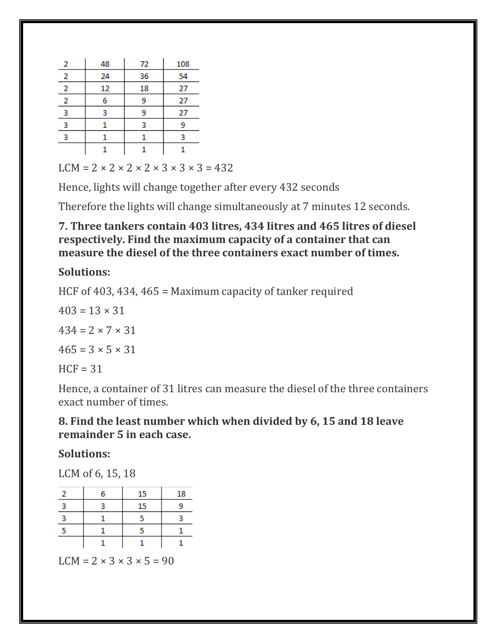| 2              | 48 | 72 | 108 |
|----------------|----|----|-----|
| 2              | 24 | 36 | 54  |
| 2              | 12 | 18 | 27  |
| $\overline{2}$ | 6  | ٩  | 27  |
| 3              |    | 9  | 27  |
| 3              |    | 3  | ٩   |
| 3              |    |    | R   |
|                |    |    |     |

 $LCM = 2 \times 2 \times 2 \times 2 \times 3 \times 3 \times 3 = 432$ 

Hence, lights will change together after every 432 seconds

Therefore the lights will change simultaneously at 7 minutes 12 seconds.

**7. Three tankers contain 403 litres, 434 litres and 465 litres of diesel respectively. Find the maximum capacity of a container that can measure the diesel of the three containers exact number of times.**

## **Solutions:**

HCF of 403, 434, 465 = Maximum capacity of tanker required

 $403 = 13 \times 31$  $434 = 2 \times 7 \times 31$  $465 = 3 \times 5 \times 31$  $HCF = 31$ 

Hence, a container of 31 litres can measure the diesel of the three containers exact number of times.

#### **8. Find the least number which when divided by 6, 15 and 18 leave remainder 5 in each case.**

# **Solutions:**

LCM of 6, 15, 18

|   | 15 | 18 |
|---|----|----|
| 2 | 15 |    |
| a |    |    |
|   |    |    |
|   |    |    |

 $LCM = 2 \times 3 \times 3 \times 5 = 90$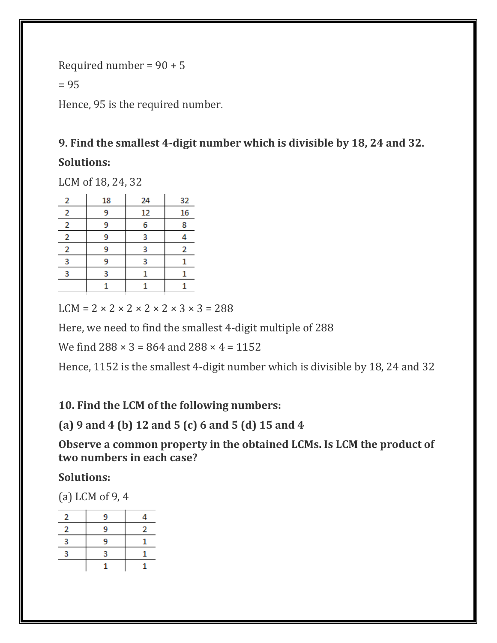Required number =  $90 + 5$  $= 95$ Hence, 95 is the required number.

# **9. Find the smallest 4-digit number which is divisible by 18, 24 and 32.**

#### **Solutions:**

LCM of 18, 24, 32

| 2              | 18 | 24 | 32 |
|----------------|----|----|----|
| $\overline{2}$ | 9  | 12 | 16 |
| 2              | 9  | 6  | 8  |
| $\overline{2}$ | 9  | 3  |    |
| 2              | 9  | 3  | 2  |
| 3              | 9  | 3  |    |
| ٩              | 3  |    |    |
|                |    |    |    |

 $LCM = 2 \times 2 \times 2 \times 2 \times 2 \times 3 \times 3 = 288$ 

Here, we need to find the smallest 4-digit multiple of 288

We find  $288 \times 3 = 864$  and  $288 \times 4 = 1152$ 

Hence, 1152 is the smallest 4-digit number which is divisible by 18, 24 and 32

**10. Find the LCM of the following numbers:**

**(a) 9 and 4 (b) 12 and 5 (c) 6 and 5 (d) 15 and 4**

**Observe a common property in the obtained LCMs. Is LCM the product of two numbers in each case?**

**Solutions:**

(a) LCM of 9, 4

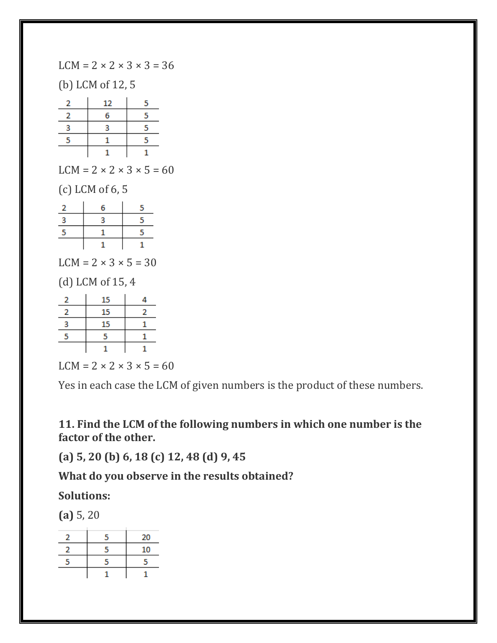$LCM = 2 \times 2 \times 3 \times 3 = 36$ 

(b) LCM of 12, 5

| 2 | 12 | 5 |
|---|----|---|
|   | 6  | 5 |
| з | 3  | 5 |
| 5 |    | ς |
|   |    |   |

 $LCM = 2 \times 2 \times 3 \times 5 = 60$ 

(c) LCM of 6, 5

| 2                                | 6  | 5 |
|----------------------------------|----|---|
| 3                                | 3  | 5 |
| 5                                | 1  | 5 |
|                                  | 1  | 1 |
| $LCM = 2 \times 3 \times 5 = 30$ |    |   |
| $(d)$ LCM of 15, 4               |    |   |
| 2                                | 15 | 4 |
| $\overline{2}$                   | 15 | 2 |
| 3                                | 15 | 1 |
| 5                                | 5  | 1 |
|                                  |    |   |



Yes in each case the LCM of given numbers is the product of these numbers.

**11. Find the LCM of the following numbers in which one number is the factor of the other.**

**(a) 5, 20 (b) 6, 18 (c) 12, 48 (d) 9, 45**

**What do you observe in the results obtained?**

**Solutions:**

**(a)** 5, 20